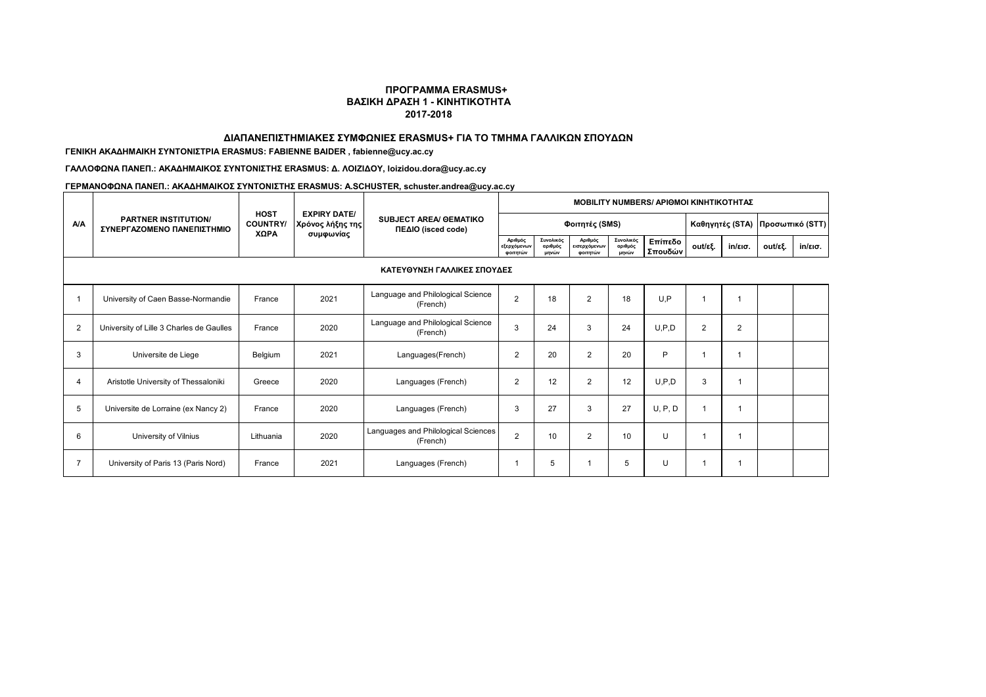### **ΔΙΑΠΑΝΕΠΙΣΤΗΜΙΑΚΕΣ ΣΥΜΦΩΝΙΕΣ ERASMUS+ ΓΙΑ ΤΟ ΤΜΗΜΑ ΓΑΛΛΙΚΩΝ ΣΠΟΥΔΩΝ**

## **ΓΕΝΙΚΗ AKAΔΗΜΑΙΚΗ ΣΥΝΤΟΝΙΣΤΡΙΑ ERASMUS: FABIENNE BAIDER , fabienne@ucy.ac.cy**

**ΓΑΛΛΟΦΩΝΑ ΠΑΝΕΠ.: ΑΚΑΔΗΜΑΙΚΟΣ ΣΥΝΤΟΝΙΣΤΗΣ ERASMUS: Δ. ΛΟΙΖΙΔΟΥ, loizidou.dora@ucy.ac.cy**

|                |                                                           |                                        | <b>EXPIRY DATE/</b><br>Χρόνος λήξης της<br>συμφωνίας | <b>SUBJECT AREA/ GEMATIKO</b><br>ΠΕΔΙΟ (isced code) | <b>MOBILITY NUMBERS/ APIOMOI KINHTIKOTHTAZ</b> |                               |                                     |                               |                    |                |                                   |         |                   |  |
|----------------|-----------------------------------------------------------|----------------------------------------|------------------------------------------------------|-----------------------------------------------------|------------------------------------------------|-------------------------------|-------------------------------------|-------------------------------|--------------------|----------------|-----------------------------------|---------|-------------------|--|
| <b>A/A</b>     | <b>PARTNER INSTITUTION/</b><br>ΣΥΝΕΡΓΑΖΟΜΕΝΟ ΠΑΝΕΠΙΣΤΗΜΙΟ | <b>HOST</b><br><b>COUNTRY/</b><br>XΩPA |                                                      |                                                     |                                                |                               | Φοιτητές (SMS)                      |                               |                    |                | Καθηγητές (STA)   Προσωπικό (STT) |         |                   |  |
|                |                                                           |                                        |                                                      |                                                     | Αριθμός<br>εξερχόμενων<br>φοιτητών             | Συνολικός<br>αριθμός<br>μηνών | Αριθμός<br>εισερχόμενων<br>φοιτητών | Συνολικός<br>αριθμός<br>μηνών | Επίπεδο<br>Σπουδών | out/εξ.        | $in$ /εισ.                        | out/εξ. | $in/\epsilon$ ισ. |  |
|                | ΚΑΤΕΥΘΥΝΣΗ ΓΑΛΛΙΚΕΣ ΣΠΟΥΔΕΣ                               |                                        |                                                      |                                                     |                                                |                               |                                     |                               |                    |                |                                   |         |                   |  |
| -1             | University of Caen Basse-Normandie                        | France                                 | 2021                                                 | Language and Philological Science<br>(French)       | $\overline{2}$                                 | 18                            | $\overline{2}$                      | 18                            | U.P                |                | 1                                 |         |                   |  |
| 2              | University of Lille 3 Charles de Gaulles                  | France                                 | 2020                                                 | Language and Philological Science<br>(French)       | 3                                              | 24                            | 3                                   | 24                            | U.P.D              | $\overline{2}$ | 2                                 |         |                   |  |
| 3              | Universite de Liege                                       | Belgium                                | 2021                                                 | Languages(French)                                   | $\overline{2}$                                 | 20                            | $\overline{2}$                      | 20                            | P                  |                |                                   |         |                   |  |
| 4              | Aristotle University of Thessaloniki                      | Greece                                 | 2020                                                 | Languages (French)                                  | $\overline{2}$                                 | 12                            | $\overline{2}$                      | 12                            | U.P.D              | 3              |                                   |         |                   |  |
| 5              | Universite de Lorraine (ex Nancy 2)                       | France                                 | 2020                                                 | Languages (French)                                  | 3                                              | 27                            | 3                                   | 27                            | U, P, D            |                |                                   |         |                   |  |
| 6              | University of Vilnius                                     | Lithuania                              | 2020                                                 | Languages and Philological Sciences<br>(French)     | $\overline{2}$                                 | 10                            | $\overline{2}$                      | 10                            | U                  |                |                                   |         |                   |  |
| $\overline{7}$ | University of Paris 13 (Paris Nord)                       | France                                 | 2021                                                 | Languages (French)                                  |                                                | 5                             |                                     | 5                             | U                  |                |                                   |         |                   |  |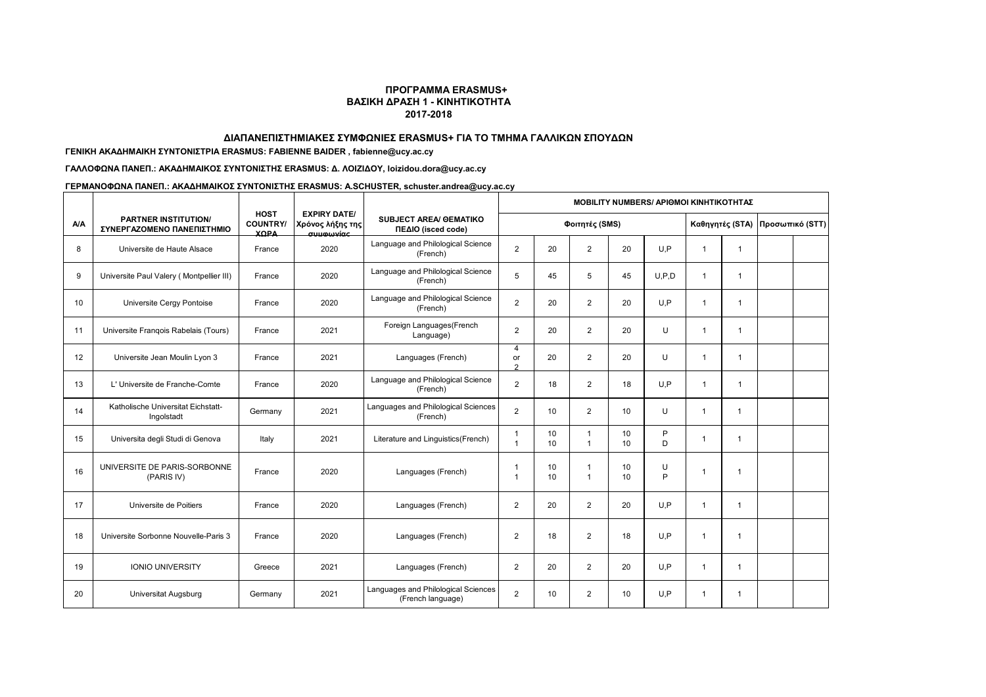#### **ΔΙΑΠΑΝΕΠΙΣΤΗΜΙΑΚΕΣ ΣΥΜΦΩΝΙΕΣ ERASMUS+ ΓΙΑ ΤΟ ΤΜΗΜΑ ΓΑΛΛΙΚΩΝ ΣΠΟΥΔΩΝ**

## **ΓΕΝΙΚΗ AKAΔΗΜΑΙΚΗ ΣΥΝΤΟΝΙΣΤΡΙΑ ERASMUS: FABIENNE BAIDER , fabienne@ucy.ac.cy**

## **ΓΑΛΛΟΦΩΝΑ ΠΑΝΕΠ.: ΑΚΑΔΗΜΑΙΚΟΣ ΣΥΝΤΟΝΙΣΤΗΣ ERASMUS: Δ. ΛΟΙΖΙΔΟΥ, loizidou.dora@ucy.ac.cy**

|            |                                                           |                                               |                                                              |                                                          | <b>MOBILITY NUMBERS/ APIOMOI KINHTIKOTHTAΣ</b> |                |                             |                       |         |                |                 |                 |  |
|------------|-----------------------------------------------------------|-----------------------------------------------|--------------------------------------------------------------|----------------------------------------------------------|------------------------------------------------|----------------|-----------------------------|-----------------------|---------|----------------|-----------------|-----------------|--|
| <b>A/A</b> | <b>PARTNER INSTITUTION/</b><br>ΣΥΝΕΡΓΑΖΟΜΕΝΟ ΠΑΝΕΠΙΣΤΗΜΙΟ | <b>HOST</b><br><b>COUNTRY/</b><br><b>YODA</b> | <b>EXPIRY DATE/</b><br>Χρόνος λήξης της<br>$\sigma$ uumumínc | <b>SUBJECT AREA/ GEMATIKO</b><br>ΠΕΔΙΟ (isced code)      |                                                | Φοιτητές (SMS) |                             |                       |         |                | Καθηγητές (STA) | Προσωπικό (STT) |  |
| 8          | Universite de Haute Alsace                                | France                                        | 2020                                                         | Language and Philological Science<br>(French)            | 2                                              | 20             | $\overline{2}$              | 20                    | U.P     | $\overline{1}$ | $\mathbf{1}$    |                 |  |
| 9          | Universite Paul Valery (Montpellier III)                  | France                                        | 2020                                                         | Language and Philological Science<br>(French)            | 5                                              | 45             | 5                           | 45                    | U.P.D   | $\overline{1}$ | -1              |                 |  |
| 10         | Universite Cergy Pontoise                                 | France                                        | 2020                                                         | Language and Philological Science<br>(French)            | $\overline{2}$                                 | 20             | $\overline{2}$              | 20                    | U.P     | $\mathbf{1}$   | $\mathbf{1}$    |                 |  |
| 11         | Universite Frangois Rabelais (Tours)                      | France                                        | 2021                                                         | Foreign Languages(French<br>Language)                    | 2                                              | 20             | $\overline{2}$              | 20                    | U       | $\mathbf{1}$   | -1              |                 |  |
| 12         | Universite Jean Moulin Lyon 3                             | France                                        | 2021                                                         | Languages (French)                                       | 4<br>or<br>2                                   | 20             | $\overline{2}$              | 20                    | U       | $\overline{1}$ | $\mathbf{1}$    |                 |  |
| 13         | L' Universite de Franche-Comte                            | France                                        | 2020                                                         | Language and Philological Science<br>(French)            | $\overline{2}$                                 | 18             | $\overline{2}$              | 18                    | U.P     | $\mathbf{1}$   | $\mathbf{1}$    |                 |  |
| 14         | Katholische Universitat Eichstatt-<br>Ingolstadt          | Germany                                       | 2021                                                         | Languages and Philological Sciences<br>(French)          | $\overline{2}$                                 | 10             | 2                           | 10 <sup>1</sup>       | U       | $\mathbf{1}$   | $\mathbf{1}$    |                 |  |
| 15         | Universita degli Studi di Genova                          | Italy                                         | 2021                                                         | Literature and Linguistics(French)                       | $\mathbf 1$<br>1                               | 10<br>10       | $\mathbf 1$<br>$\mathbf{1}$ | 10<br>10 <sup>1</sup> | P<br>D. | $\mathbf{1}$   | 1               |                 |  |
| 16         | UNIVERSITE DE PARIS-SORBONNE<br>(PARIS IV)                | France                                        | 2020                                                         | Languages (French)                                       | -1<br>1                                        | 10<br>10       | -1<br>$\mathbf{1}$          | 10<br>10              | U<br>P  | -1             | 1               |                 |  |
| 17         | Universite de Poitiers                                    | France                                        | 2020                                                         | Languages (French)                                       | $\overline{2}$                                 | 20             | 2                           | 20                    | U.P     | $\mathbf{1}$   | $\mathbf{1}$    |                 |  |
| 18         | Universite Sorbonne Nouvelle-Paris 3                      | France                                        | 2020                                                         | Languages (French)                                       | $\overline{2}$                                 | 18             | 2                           | 18                    | U.P     | $\mathbf{1}$   | 1               |                 |  |
| 19         | <b>IONIO UNIVERSITY</b>                                   | Greece                                        | 2021                                                         | Languages (French)                                       | $\overline{2}$                                 | 20             | 2                           | 20                    | U.P     | $\mathbf{1}$   | $\mathbf{1}$    |                 |  |
| 20         | Universitat Augsburg                                      | Germany                                       | 2021                                                         | Languages and Philological Sciences<br>(French language) | $\overline{2}$                                 | 10             | 2                           | 10 <sup>1</sup>       | U.P     | 1              | $\mathbf{1}$    |                 |  |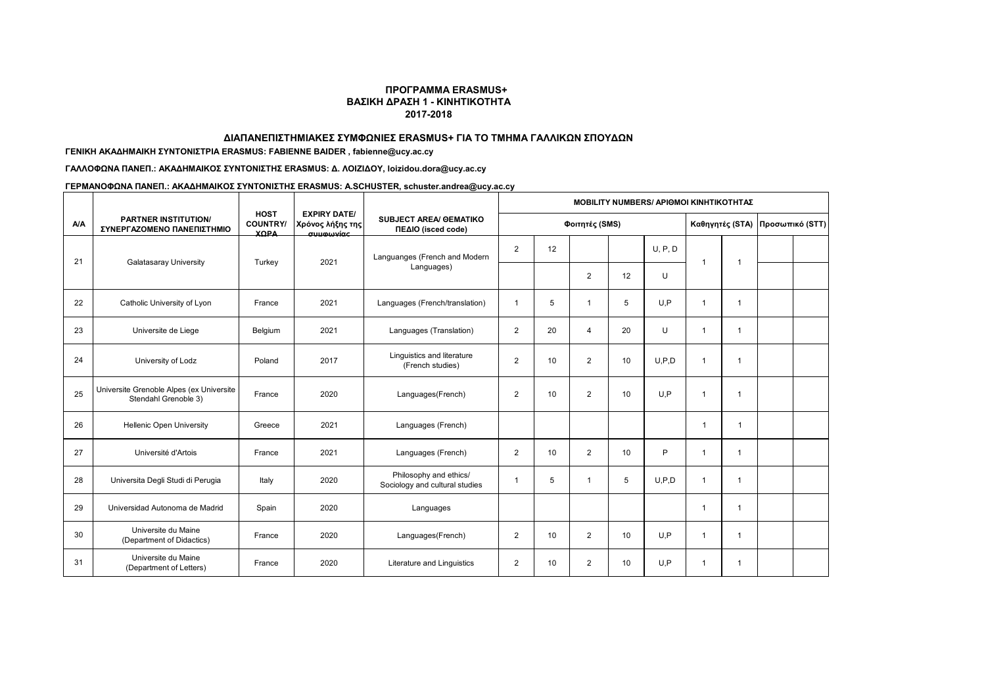### **ΔΙΑΠΑΝΕΠΙΣΤΗΜΙΑΚΕΣ ΣΥΜΦΩΝΙΕΣ ERASMUS+ ΓΙΑ ΤΟ ΤΜΗΜΑ ΓΑΛΛΙΚΩΝ ΣΠΟΥΔΩΝ**

## **ΓΕΝΙΚΗ AKAΔΗΜΑΙΚΗ ΣΥΝΤΟΝΙΣΤΡΙΑ ERASMUS: FABIENNE BAIDER , fabienne@ucy.ac.cy**

## **ΓΑΛΛΟΦΩΝΑ ΠΑΝΕΠ.: ΑΚΑΔΗΜΑΙΚΟΣ ΣΥΝΤΟΝΙΣΤΗΣ ERASMUS: Δ. ΛΟΙΖΙΔΟΥ, loizidou.dora@ucy.ac.cy**

|            |                                                                  |                                               |                                                                                 |                                                          | <b>MOBILITY NUMBERS/ APIOMOI KINHTIKOTHTAZ</b> |    |                |    |         |                 |              |                 |  |
|------------|------------------------------------------------------------------|-----------------------------------------------|---------------------------------------------------------------------------------|----------------------------------------------------------|------------------------------------------------|----|----------------|----|---------|-----------------|--------------|-----------------|--|
| <b>A/A</b> | <b>PARTNER INSTITUTION/</b><br>ΣΥΝΕΡΓΑΖΟΜΕΝΟ ΠΑΝΕΠΙΣΤΗΜΙΟ        | <b>HOST</b><br><b>COUNTRY/</b><br><b>YODA</b> | <b>EXPIRY DATE/</b><br>Χρόνος λήξης της<br><b><i><u><u>automnée</u></u></i></b> | <b>SUBJECT AREA/ GEMATIKO</b><br>ΠΕΔΙΟ (isced code)      | Φοιτητές (SMS)                                 |    |                |    |         | Καθηγητές (STA) |              | Προσωπικό (STT) |  |
| 21         |                                                                  |                                               | 2021                                                                            | Languanges (French and Modern                            | $\overline{2}$                                 | 12 |                |    | U, P, D | $\overline{1}$  |              |                 |  |
|            | <b>Galatasaray University</b>                                    | Turkey                                        |                                                                                 | Languages)                                               |                                                |    | $\overline{c}$ | 12 | U       |                 | $\mathbf{1}$ |                 |  |
| 22         | Catholic University of Lyon                                      | France                                        | 2021                                                                            | Languages (French/translation)                           | $\mathbf{1}$                                   | 5  | 1              | 5  | U.P     | 1               | $\mathbf{1}$ |                 |  |
| 23         | Universite de Liege                                              | Belgium                                       | 2021                                                                            | Languages (Translation)                                  | $\overline{2}$                                 | 20 | $\overline{4}$ | 20 | U       | -1              | 1            |                 |  |
| 24         | University of Lodz                                               | Poland                                        | 2017                                                                            | Linguistics and literature<br>(French studies)           | $\overline{2}$                                 | 10 | $\overline{2}$ | 10 | U.P.D   | $\mathbf{1}$    | 1            |                 |  |
| 25         | Universite Grenoble Alpes (ex Universite<br>Stendahl Grenoble 3) | France                                        | 2020                                                                            | Languages(French)                                        | $\overline{2}$                                 | 10 | 2              | 10 | U.P     | 1               | $\mathbf{1}$ |                 |  |
| 26         | Hellenic Open University                                         | Greece                                        | 2021                                                                            | Languages (French)                                       |                                                |    |                |    |         | 1               |              |                 |  |
| 27         | Université d'Artois                                              | France                                        | 2021                                                                            | Languages (French)                                       | $\overline{2}$                                 | 10 | $\overline{2}$ | 10 | P       | 1               | $\mathbf{1}$ |                 |  |
| 28         | Universita Degli Studi di Perugia                                | Italy                                         | 2020                                                                            | Philosophy and ethics/<br>Sociology and cultural studies | $\mathbf{1}$                                   | 5  | $\overline{1}$ | 5  | U.P.D   | $\overline{1}$  | $\mathbf{1}$ |                 |  |
| 29         | Universidad Autonoma de Madrid                                   | Spain                                         | 2020                                                                            | Languages                                                |                                                |    |                |    |         |                 | 1            |                 |  |
| 30         | Universite du Maine<br>(Department of Didactics)                 | France                                        | 2020                                                                            | Languages(French)                                        | $\overline{2}$                                 | 10 | $\overline{2}$ | 10 | U.P     | $\overline{1}$  | $\mathbf{1}$ |                 |  |
| 31         | Universite du Maine<br>(Department of Letters)                   | France                                        | 2020                                                                            | Literature and Linguistics                               | $\overline{2}$                                 | 10 | 2              | 10 | U.P     | $\overline{1}$  | $\mathbf{1}$ |                 |  |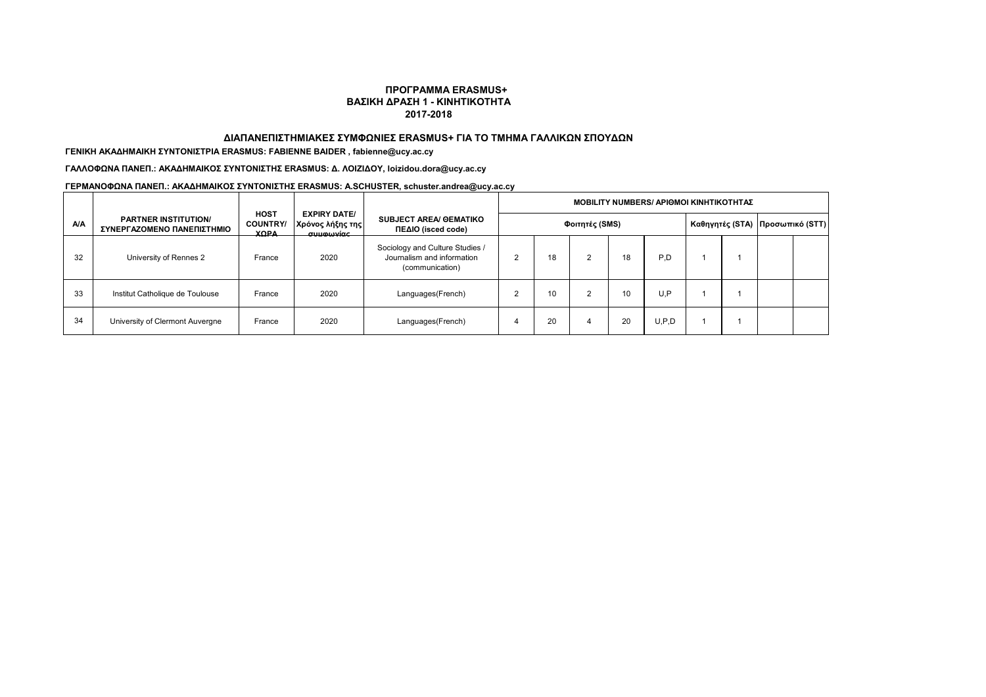### **ΔΙΑΠΑΝΕΠΙΣΤΗΜΙΑΚΕΣ ΣΥΜΦΩΝΙΕΣ ERASMUS+ ΓΙΑ ΤΟ ΤΜΗΜΑ ΓΑΛΛΙΚΩΝ ΣΠΟΥΔΩΝ**

### **ΓΕΝΙΚΗ AKAΔΗΜΑΙΚΗ ΣΥΝΤΟΝΙΣΤΡΙΑ ERASMUS: FABIENNE BAIDER , fabienne@ucy.ac.cy**

**ΓΑΛΛΟΦΩΝΑ ΠΑΝΕΠ.: ΑΚΑΔΗΜΑΙΚΟΣ ΣΥΝΤΟΝΙΣΤΗΣ ERASMUS: Δ. ΛΟΙΖΙΔΟΥ, loizidou.dora@ucy.ac.cy**

|            |                                                           |                                               |                                                                      |                                                                                  | <b>MOBILITY NUMBERS/ APIOMOI ΚΙΝΗΤΙΚΟΤΗΤΑΣ</b> |    |            |    |       |  |  |                                   |  |  |
|------------|-----------------------------------------------------------|-----------------------------------------------|----------------------------------------------------------------------|----------------------------------------------------------------------------------|------------------------------------------------|----|------------|----|-------|--|--|-----------------------------------|--|--|
| <b>A/A</b> | <b>PARTNER INSTITUTION/</b><br>ΣΥΝΕΡΓΑΖΟΜΕΝΟ ΠΑΝΕΠΙΣΤΗΜΙΟ | <b>HOST</b><br><b>COUNTRY/</b><br><b>YODA</b> | <b>EXPIRY DATE/</b><br>Χρόνος λήξης της<br>$\sigma$ uumuwac $\sigma$ | <b>SUBJECT AREA/ GEMATIKO</b><br>ΠΕΔΙΟ (isced code)                              | Φοιτητές (SMS)                                 |    |            |    |       |  |  | Καθηγητές (STA)   Προσωπικό (STT) |  |  |
| 32         | University of Rennes 2                                    | France                                        | 2020                                                                 | Sociology and Culture Studies /<br>Journalism and information<br>(communication) | 2                                              | 18 | $\sqrt{2}$ | 18 | P.D   |  |  |                                   |  |  |
| 33         | Institut Catholique de Toulouse                           | France                                        | 2020                                                                 | Languages(French)                                                                |                                                | 10 |            | 10 | U.P   |  |  |                                   |  |  |
| 34         | University of Clermont Auvergne                           | France                                        | 2020                                                                 | Languages(French)                                                                |                                                | 20 |            | 20 | U.P.D |  |  |                                   |  |  |